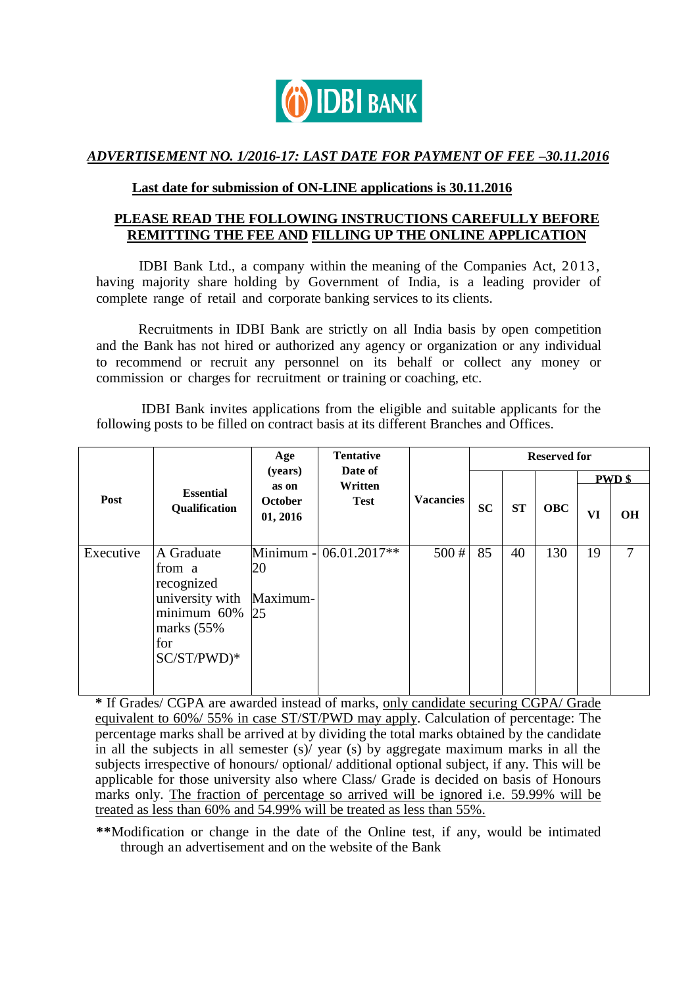

## *ADVERTISEMENT NO. 1/2016-17: LAST DATE FOR PAYMENT OF FEE –30.11.2016*

## **Last date for submission of ON-LINE applications is 30.11.2016**

# **PLEASE READ THE FOLLOWING INSTRUCTIONS CAREFULLY BEFORE REMITTING THE FEE AND FILLING UP THE ONLINE APPLICATION**

IDBI Bank Ltd., a company within the meaning of the Companies Act, 2013, having majority share holding by Government of India, is a leading provider of complete range of retail and corporate banking services to its clients.

Recruitments in IDBI Bank are strictly on all India basis by open competition and the Bank has not hired or authorized any agency or organization or any individual to recommend or recruit any personnel on its behalf or collect any money or commission or charges for recruitment or training or coaching, etc.

IDBI Bank invites applications from the eligible and suitable applicants for the following posts to be filled on contract basis at its different Branches and Offices.

| Post      | <b>Essential</b><br>Qualification                                                                          | Age<br>(years)<br>as on<br><b>October</b><br>01, 2016 | <b>Tentative</b><br>Date of<br>Written<br><b>Test</b> | <b>Vacancies</b> | <b>Reserved for</b> |    |            |               |    |
|-----------|------------------------------------------------------------------------------------------------------------|-------------------------------------------------------|-------------------------------------------------------|------------------|---------------------|----|------------|---------------|----|
|           |                                                                                                            |                                                       |                                                       |                  |                     |    |            | <b>PWD</b> \$ |    |
|           |                                                                                                            |                                                       |                                                       |                  | <b>SC</b>           | ST | <b>OBC</b> | VI            | OH |
| Executive | A Graduate<br>from a<br>recognized<br>university with<br>minimum 60%<br>marks $(55%$<br>for<br>SC/ST/PWD)* | Minimum -<br>20<br>Maximum-<br>25                     | 06.01.2017**                                          | 500#             | 85                  | 40 | 130        | 19            | 7  |

**\*** If Grades/ CGPA are awarded instead of marks, only candidate securing CGPA/ Grade equivalent to 60%/ 55% in case ST/ST/PWD may apply. Calculation of percentage: The percentage marks shall be arrived at by dividing the total marks obtained by the candidate in all the subjects in all semester (s)/ year (s) by aggregate maximum marks in all the subjects irrespective of honours/ optional/ additional optional subject, if any. This will be applicable for those university also where Class/ Grade is decided on basis of Honours marks only. The fraction of percentage so arrived will be ignored i.e. 59.99% will be treated as less than 60% and 54.99% will be treated as less than 55%.

**\*\***Modification or change in the date of the Online test, if any, would be intimated through an advertisement and on the website of the Bank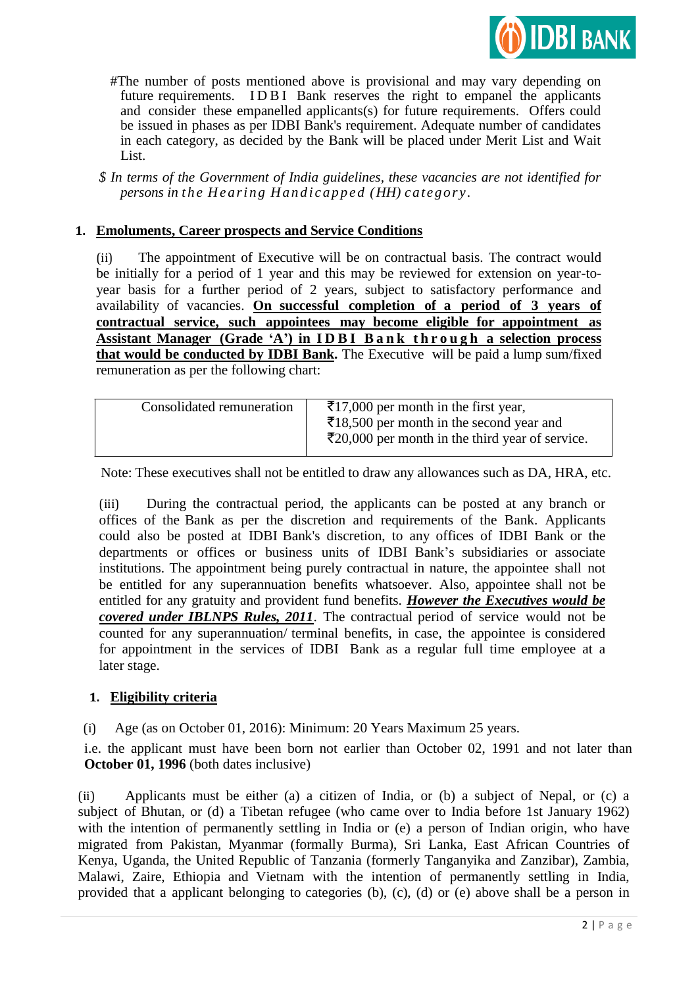

 #The number of posts mentioned above is provisional and may vary depending on future requirements. IDBI Bank reserves the right to empanel the applicants and consider these empanelled applicants(s) for future requirements. Offers could be issued in phases as per IDBI Bank's requirement. Adequate number of candidates in each category, as decided by the Bank will be placed under Merit List and Wait List.

*\$ In terms of the Government of India guidelines, these vacancies are not identified for persons in the Hearing Handicapped (HH) category.* 

### **1. Emoluments, Career prospects and Service Conditions**

(ii) The appointment of Executive will be on contractual basis. The contract would be initially for a period of 1 year and this may be reviewed for extension on year-toyear basis for a further period of 2 years, subject to satisfactory performance and availability of vacancies. **On successful completion of a period of 3 years of contractual service, such appointees may become eligible for appointment as Assistant Manager (Grade "A") in I D B I B a n k t h r o u g h a selection process that would be conducted by IDBI Bank.** The Executive will be paid a lump sum/fixed remuneration as per the following chart:

| Consolidated remuneration | $\overline{\xi}$ 17,000 per month in the first year,               |
|---------------------------|--------------------------------------------------------------------|
|                           | $\overline{\xi}$ 18,500 per month in the second year and           |
|                           |                                                                    |
|                           | $\bar{\mathcal{E}}$ 20,000 per month in the third year of service. |

Note: These executives shall not be entitled to draw any allowances such as DA, HRA, etc.

(iii) During the contractual period, the applicants can be posted at any branch or offices of the Bank as per the discretion and requirements of the Bank. Applicants could also be posted at IDBI Bank's discretion, to any offices of IDBI Bank or the departments or offices or business units of IDBI Bank"s subsidiaries or associate institutions. The appointment being purely contractual in nature, the appointee shall not be entitled for any superannuation benefits whatsoever. Also, appointee shall not be entitled for any gratuity and provident fund benefits. *However the Executives would be covered under IBLNPS Rules, 2011*. The contractual period of service would not be counted for any superannuation/ terminal benefits, in case, the appointee is considered for appointment in the services of IDBI Bank as a regular full time employee at a later stage.

## **1. Eligibility criteria**

(i) Age (as on October 01, 2016): Minimum: 20 Years Maximum 25 years.

i.e. the applicant must have been born not earlier than October 02, 1991 and not later than **October 01, 1996** (both dates inclusive)

(ii) Applicants must be either (a) a citizen of India, or (b) a subject of Nepal, or (c) a subject of Bhutan, or (d) a Tibetan refugee (who came over to India before 1st January 1962) with the intention of permanently settling in India or (e) a person of Indian origin, who have migrated from Pakistan, Myanmar (formally Burma), Sri Lanka, East African Countries of Kenya, Uganda, the United Republic of Tanzania (formerly Tanganyika and Zanzibar), Zambia, Malawi, Zaire, Ethiopia and Vietnam with the intention of permanently settling in India, provided that a applicant belonging to categories (b), (c), (d) or (e) above shall be a person in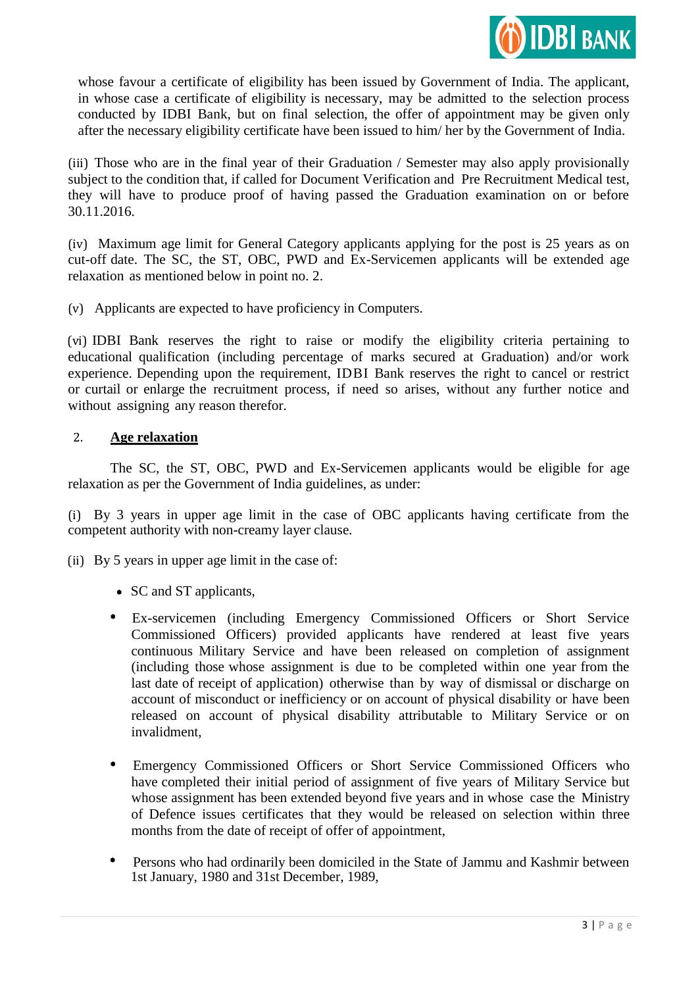

whose favour a certificate of eligibility has been issued by Government of India. The applicant, in whose case a certificate of eligibility is necessary, may be admitted to the selection process conducted by IDBI Bank, but on final selection, the offer of appointment may be given only after the necessary eligibility certificate have been issued to him/ her by the Government of India.

(iii) Those who are in the final year of their Graduation / Semester may also apply provisionally subject to the condition that, if called for Document Verification and Pre Recruitment Medical test, they will have to produce proof of having passed the Graduation examination on or before 30.11.2016.

(iv) Maximum age limit for General Category applicants applying for the post is 25 years as on cut-off date. The SC, the ST, OBC, PWD and Ex-Servicemen applicants will be extended age relaxation as mentioned below in point no. 2.

(v) Applicants are expected to have proficiency in Computers.

(vi) IDBI Bank reserves the right to raise or modify the eligibility criteria pertaining to educational qualification (including percentage of marks secured at Graduation) and/or work experience. Depending upon the requirement, IDBI Bank reserves the right to cancel or restrict or curtail or enlarge the recruitment process, if need so arises, without any further notice and without assigning any reason therefor.

### 2. **Age relaxation**

The SC, the ST, OBC, PWD and Ex-Servicemen applicants would be eligible for age relaxation as per the Government of India guidelines, as under:

(i) By 3 years in upper age limit in the case of OBC applicants having certificate from the competent authority with non-creamy layer clause.

(ii) By 5 years in upper age limit in the case of:

- SC and ST applicants,
- Ex-servicemen (including Emergency Commissioned Officers or Short Service Commissioned Officers) provided applicants have rendered at least five years continuous Military Service and have been released on completion of assignment (including those whose assignment is due to be completed within one year from the last date of receipt of application) otherwise than by way of dismissal or discharge on account of misconduct or inefficiency or on account of physical disability or have been released on account of physical disability attributable to Military Service or on invalidment,
- Emergency Commissioned Officers or Short Service Commissioned Officers who have completed their initial period of assignment of five years of Military Service but whose assignment has been extended beyond five years and in whose case the Ministry of Defence issues certificates that they would be released on selection within three months from the date of receipt of offer of appointment,
- Persons who had ordinarily been domiciled in the State of Jammu and Kashmir between 1st January, 1980 and 31st December, 1989,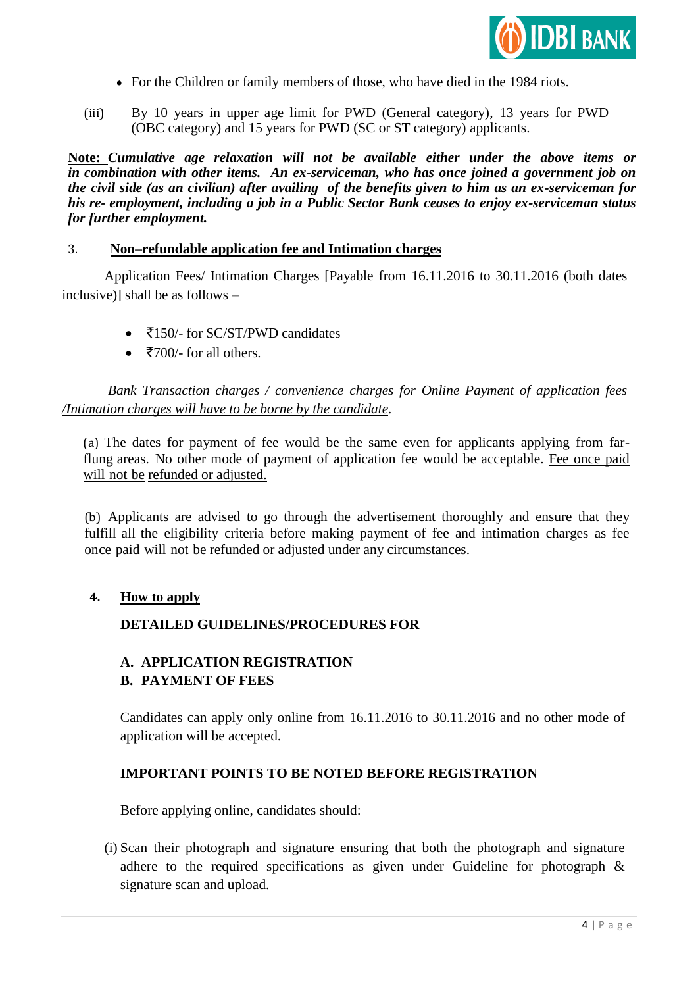

- For the Children or family members of those, who have died in the 1984 riots.
- (iii) By 10 years in upper age limit for PWD (General category), 13 years for PWD (OBC category) and 15 years for PWD (SC or ST category) applicants.

**Note:** *Cumulative age relaxation will not be available either under the above items or in combination with other items. An ex-serviceman, who has once joined a government job on the civil side (as an civilian) after availing of the benefits given to him as an ex-serviceman for his re- employment, including a job in a Public Sector Bank ceases to enjoy ex-serviceman status for further employment.*

#### 3. **Non–refundable application fee and Intimation charges**

Application Fees/ Intimation Charges [Payable from 16.11.2016 to 30.11.2016 (both dates inclusive)] shall be as follows –

- $\bullet$   $\overline{5150/}$  for SC/ST/PWD candidates
- $\bullet$   $\overline{5700/}$  for all others.

*Bank Transaction charges / convenience charges for Online Payment of application fees /Intimation charges will have to be borne by the candidate*.

(a) The dates for payment of fee would be the same even for applicants applying from farflung areas. No other mode of payment of application fee would be acceptable. Fee once paid will not be refunded or adjusted.

(b) Applicants are advised to go through the advertisement thoroughly and ensure that they fulfill all the eligibility criteria before making payment of fee and intimation charges as fee once paid will not be refunded or adjusted under any circumstances.

#### **4. How to apply**

## **DETAILED GUIDELINES/PROCEDURES FOR**

#### **A. APPLICATION REGISTRATION**

#### **B. PAYMENT OF FEES**

Candidates can apply only online from 16.11.2016 to 30.11.2016 and no other mode of application will be accepted.

#### **IMPORTANT POINTS TO BE NOTED BEFORE REGISTRATION**

Before applying online, candidates should:

(i) Scan their photograph and signature ensuring that both the photograph and signature adhere to the required specifications as given under Guideline for photograph & signature scan and upload.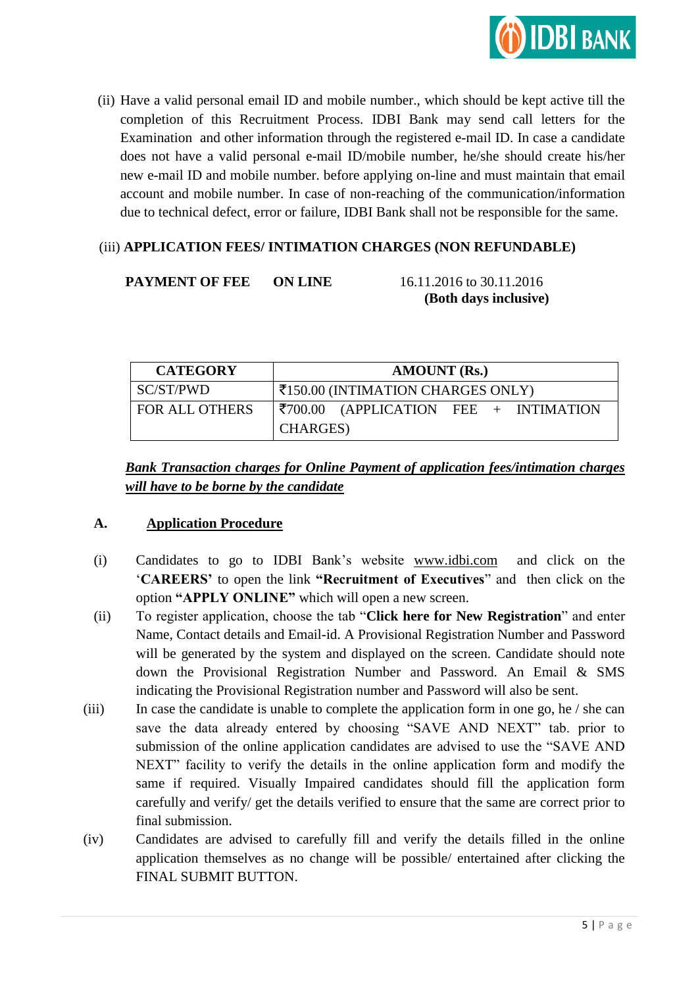

(ii) Have a valid personal email ID and mobile number., which should be kept active till the completion of this Recruitment Process. IDBI Bank may send call letters for the Examination and other information through the registered e-mail ID. In case a candidate does not have a valid personal e-mail ID/mobile number, he/she should create his/her new e-mail ID and mobile number. before applying on-line and must maintain that email account and mobile number. In case of non-reaching of the communication/information due to technical defect, error or failure, IDBI Bank shall not be responsible for the same.

# (iii) **APPLICATION FEES/ INTIMATION CHARGES (NON REFUNDABLE)**

# **PAYMENT OF FEE ON LINE** 16.11.2016 to 30.11.2016

 **(Both days inclusive)**

| <b>CATEGORY</b>       | <b>AMOUNT</b> (Rs.)                                     |  |  |  |  |  |
|-----------------------|---------------------------------------------------------|--|--|--|--|--|
| SC/ST/PWD             | ₹150.00 (INTIMATION CHARGES ONLY)                       |  |  |  |  |  |
| <b>FOR ALL OTHERS</b> | $ \xi$ 700.00 (APPLICATION FEE + INTIMATION<br>CHARGES) |  |  |  |  |  |

*Bank Transaction charges for Online Payment of application fees/intimation charges will have to be borne by the candidate*

# **A. Application Procedure**

- (i) Candidates to go to IDBI Bank"s website [www.idbi.com](http://www.idbi.com/) and click on the "**CAREERS"** to open the link **"Recruitment of Executives**" and then click on the option **"APPLY ONLINE"** which will open a new screen.
- (ii) To register application, choose the tab "**Click here for New Registration**" and enter Name, Contact details and Email-id. A Provisional Registration Number and Password will be generated by the system and displayed on the screen. Candidate should note down the Provisional Registration Number and Password. An Email & SMS indicating the Provisional Registration number and Password will also be sent.
- (iii) In case the candidate is unable to complete the application form in one go, he / she can save the data already entered by choosing "SAVE AND NEXT" tab. prior to submission of the online application candidates are advised to use the "SAVE AND NEXT" facility to verify the details in the online application form and modify the same if required. Visually Impaired candidates should fill the application form carefully and verify/ get the details verified to ensure that the same are correct prior to final submission.
- (iv) Candidates are advised to carefully fill and verify the details filled in the online application themselves as no change will be possible/ entertained after clicking the FINAL SUBMIT BUTTON.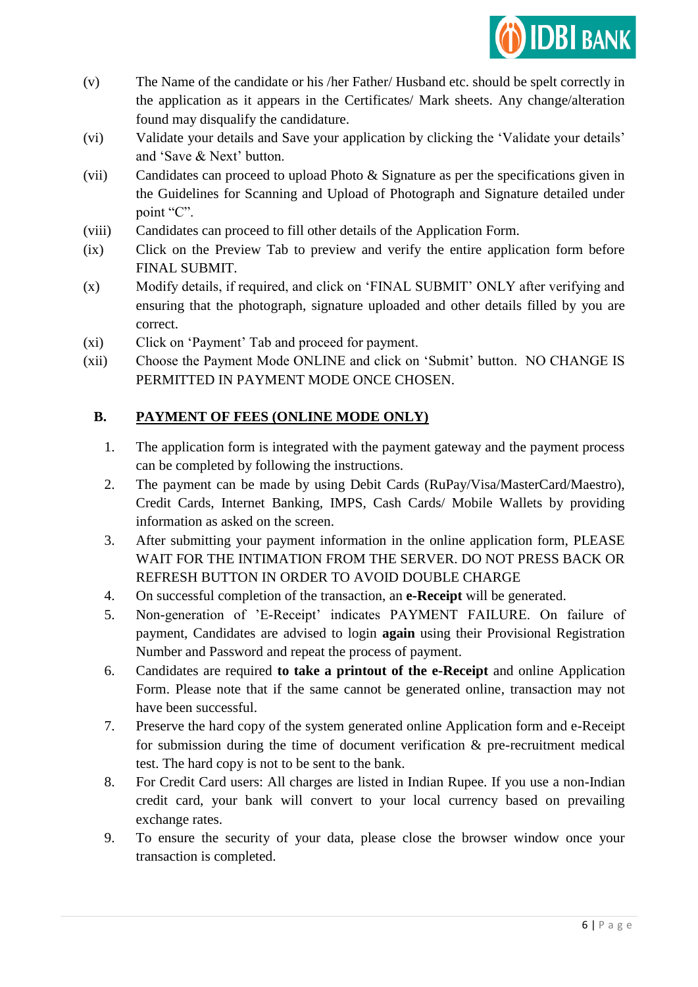

- (v) The Name of the candidate or his /her Father/ Husband etc. should be spelt correctly in the application as it appears in the Certificates/ Mark sheets. Any change/alteration found may disqualify the candidature.
- (vi) Validate your details and Save your application by clicking the "Validate your details" and 'Save & Next' button.
- (vii) Candidates can proceed to upload Photo & Signature as per the specifications given in the Guidelines for Scanning and Upload of Photograph and Signature detailed under point "C".
- (viii) Candidates can proceed to fill other details of the Application Form.
- (ix) Click on the Preview Tab to preview and verify the entire application form before FINAL SUBMIT.
- (x) Modify details, if required, and click on "FINAL SUBMIT" ONLY after verifying and ensuring that the photograph, signature uploaded and other details filled by you are correct.
- (xi) Click on "Payment" Tab and proceed for payment.
- (xii) Choose the Payment Mode ONLINE and click on "Submit" button. NO CHANGE IS PERMITTED IN PAYMENT MODE ONCE CHOSEN.

# **B. PAYMENT OF FEES (ONLINE MODE ONLY)**

- 1. The application form is integrated with the payment gateway and the payment process can be completed by following the instructions.
- 2. The payment can be made by using Debit Cards (RuPay/Visa/MasterCard/Maestro), Credit Cards, Internet Banking, IMPS, Cash Cards/ Mobile Wallets by providing information as asked on the screen.
- 3. After submitting your payment information in the online application form, PLEASE WAIT FOR THE INTIMATION FROM THE SERVER. DO NOT PRESS BACK OR REFRESH BUTTON IN ORDER TO AVOID DOUBLE CHARGE
- 4. On successful completion of the transaction, an **e-Receipt** will be generated.
- 5. Non-generation of "E-Receipt" indicates PAYMENT FAILURE. On failure of payment, Candidates are advised to login **again** using their Provisional Registration Number and Password and repeat the process of payment.
- 6. Candidates are required **to take a printout of the e-Receipt** and online Application Form. Please note that if the same cannot be generated online, transaction may not have been successful.
- 7. Preserve the hard copy of the system generated online Application form and e-Receipt for submission during the time of document verification & pre-recruitment medical test. The hard copy is not to be sent to the bank.
- 8. For Credit Card users: All charges are listed in Indian Rupee. If you use a non-Indian credit card, your bank will convert to your local currency based on prevailing exchange rates.
- 9. To ensure the security of your data, please close the browser window once your transaction is completed.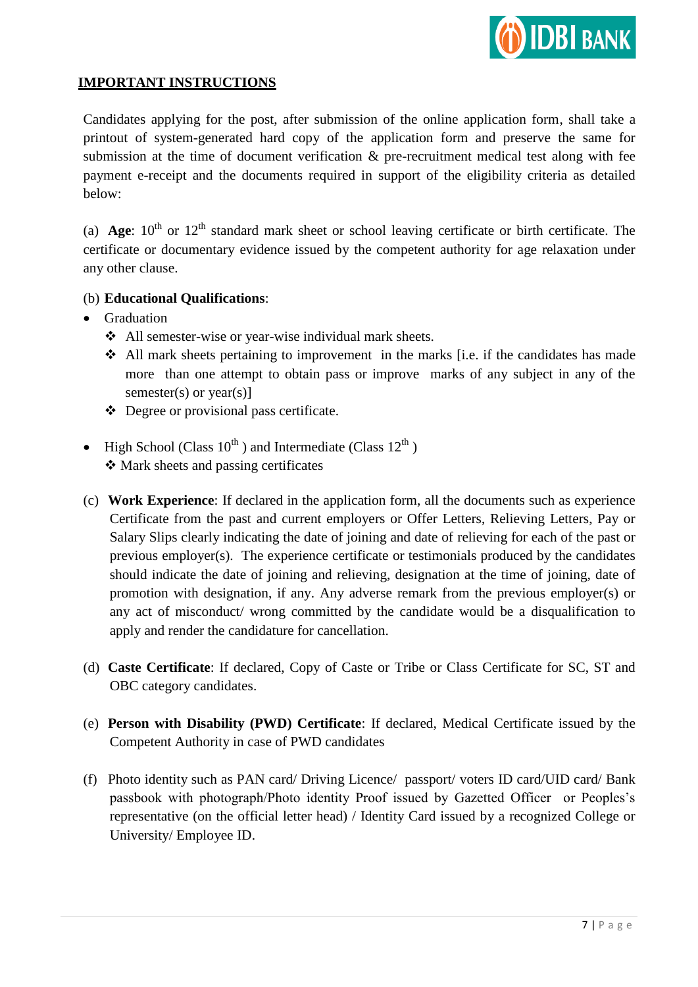

# **IMPORTANT INSTRUCTIONS**

Candidates applying for the post, after submission of the online application form, shall take a printout of system-generated hard copy of the application form and preserve the same for submission at the time of document verification & pre-recruitment medical test along with fee payment e-receipt and the documents required in support of the eligibility criteria as detailed below:

(a) **Age**:  $10^{th}$  or  $12^{th}$  standard mark sheet or school leaving certificate or birth certificate. The certificate or documentary evidence issued by the competent authority for age relaxation under any other clause.

## (b) **Educational Qualifications**:

- Graduation
	- All semester-wise or year-wise individual mark sheets.
	- All mark sheets pertaining to improvement in the marks [i.e. if the candidates has made more than one attempt to obtain pass or improve marks of any subject in any of the semester(s) or year(s)]
	- Degree or provisional pass certificate.
- High School (Class  $10^{th}$ ) and Intermediate (Class  $12^{th}$ ) Mark sheets and passing certificates
- (c) **Work Experience**: If declared in the application form, all the documents such as experience Certificate from the past and current employers or Offer Letters, Relieving Letters, Pay or Salary Slips clearly indicating the date of joining and date of relieving for each of the past or previous employer(s). The experience certificate or testimonials produced by the candidates should indicate the date of joining and relieving, designation at the time of joining, date of promotion with designation, if any. Any adverse remark from the previous employer(s) or any act of misconduct/ wrong committed by the candidate would be a disqualification to apply and render the candidature for cancellation.
- (d) **Caste Certificate**: If declared, Copy of Caste or Tribe or Class Certificate for SC, ST and OBC category candidates.
- (e) **Person with Disability (PWD) Certificate**: If declared, Medical Certificate issued by the Competent Authority in case of PWD candidates
- (f) Photo identity such as PAN card/ Driving Licence/ passport/ voters ID card/UID card/ Bank passbook with photograph/Photo identity Proof issued by Gazetted Officer or Peoples"s representative (on the official letter head) / Identity Card issued by a recognized College or University/ Employee ID.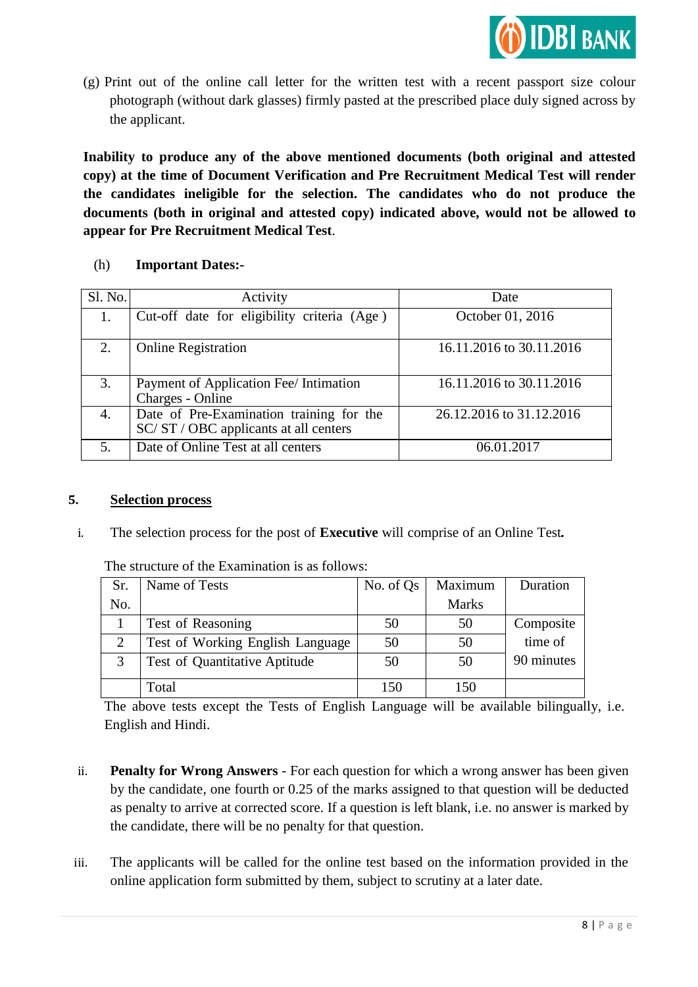

(g) Print out of the online call letter for the written test with a recent passport size colour photograph (without dark glasses) firmly pasted at the prescribed place duly signed across by the applicant.

**Inability to produce any of the above mentioned documents (both original and attested copy) at the time of Document Verification and Pre Recruitment Medical Test will render the candidates ineligible for the selection. The candidates who do not produce the documents (both in original and attested copy) indicated above, would not be allowed to appear for Pre Recruitment Medical Test**.

### (h) **Important Dates:-**

| Sl. No. | Activity                                                                        | Date                     |
|---------|---------------------------------------------------------------------------------|--------------------------|
| 1.      | Cut-off date for eligibility criteria (Age)                                     | October 01, 2016         |
| 2.      | <b>Online Registration</b>                                                      | 16.11.2016 to 30.11.2016 |
| 3.      | Payment of Application Fee/ Intimation<br>Charges - Online                      | 16.11.2016 to 30.11.2016 |
| 4.      | Date of Pre-Examination training for the<br>SC/ST/OBC applicants at all centers | 26.12.2016 to 31.12.2016 |
| 5.      | Date of Online Test at all centers                                              | 06.01.2017               |

### **5. Selection process**

i. The selection process for the post of **Executive** will comprise of an Online Test*.*

| Sr.            | Name of Tests                    | No. of Qs | Maximum      | Duration   |
|----------------|----------------------------------|-----------|--------------|------------|
| No.            |                                  |           | <b>Marks</b> |            |
|                | Test of Reasoning                | 50        | 50           | Composite  |
| $\overline{2}$ | Test of Working English Language | 50        | 50           | time of    |
| 3              | Test of Quantitative Aptitude    | 50        | 50           | 90 minutes |
|                | Total                            | 150       | 150          |            |

The structure of the Examination is as follows:

The above tests except the Tests of English Language will be available bilingually, i.e. English and Hindi.

- ii. **Penalty for Wrong Answers** For each question for which a wrong answer has been given by the candidate, one fourth or 0.25 of the marks assigned to that question will be deducted as penalty to arrive at corrected score. If a question is left blank, i.e. no answer is marked by the candidate, there will be no penalty for that question.
- iii. The applicants will be called for the online test based on the information provided in the online application form submitted by them, subject to scrutiny at a later date.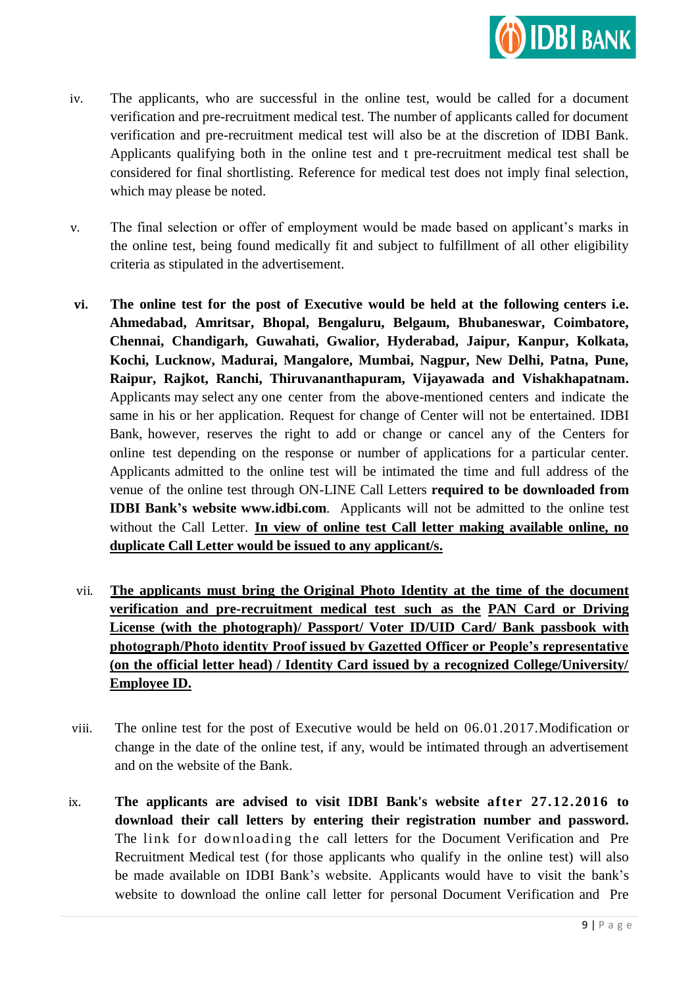

- iv. The applicants, who are successful in the online test, would be called for a document verification and pre-recruitment medical test. The number of applicants called for document verification and pre-recruitment medical test will also be at the discretion of IDBI Bank. Applicants qualifying both in the online test and t pre-recruitment medical test shall be considered for final shortlisting. Reference for medical test does not imply final selection, which may please be noted.
- v. The final selection or offer of employment would be made based on applicant"s marks in the online test, being found medically fit and subject to fulfillment of all other eligibility criteria as stipulated in the advertisement.
- **vi. The online test for the post of Executive would be held at the following centers i.e. Ahmedabad, Amritsar, Bhopal, Bengaluru, Belgaum, Bhubaneswar, Coimbatore, Chennai, Chandigarh, Guwahati, Gwalior, Hyderabad, Jaipur, Kanpur, Kolkata, Kochi, Lucknow, Madurai, Mangalore, Mumbai, Nagpur, New Delhi, Patna, Pune, Raipur, Rajkot, Ranchi, Thiruvananthapuram, Vijayawada and Vishakhapatnam.** Applicants may select any one center from the above-mentioned centers and indicate the same in his or her application. Request for change of Center will not be entertained. IDBI Bank, however, reserves the right to add or change or cancel any of the Centers for online test depending on the response or number of applications for a particular center. Applicants admitted to the online test will be intimated the time and full address of the venue of the online test through ON-LINE Call Letters **required to be downloaded from IDBI Bank"s website [www.idbi.com](http://www.idbi.com/)**. Applicants will not be admitted to the online test without the Call Letter. **In view of online test Call letter making available online, no duplicate Call Letter would be issued to any applicant/s.**
- vii. **The applicants must bring the Original Photo Identity at the time of the document verification and pre-recruitment medical test such as the PAN Card or Driving License (with the photograph)/ Passport/ Voter ID/UID Card/ Bank passbook with photograph/Photo identity Proof issued by Gazetted Officer or People"s representative (on the official letter head) / Identity Card issued by a recognized College/University/ Employee ID.**
- viii. The online test for the post of Executive would be held on 06.01.2017.Modification or change in the date of the online test, if any, would be intimated through an advertisement and on the website of the Bank.
- ix. **The applicants are advised to visit IDBI Bank's website after 27.12.2016 to download their call letters by entering their registration number and password.** The link for downloading the call letters for the Document Verification and Pre Recruitment Medical test (for those applicants who qualify in the online test) will also be made available on IDBI Bank's website. Applicants would have to visit the bank's website to download the online call letter for personal Document Verification and Pre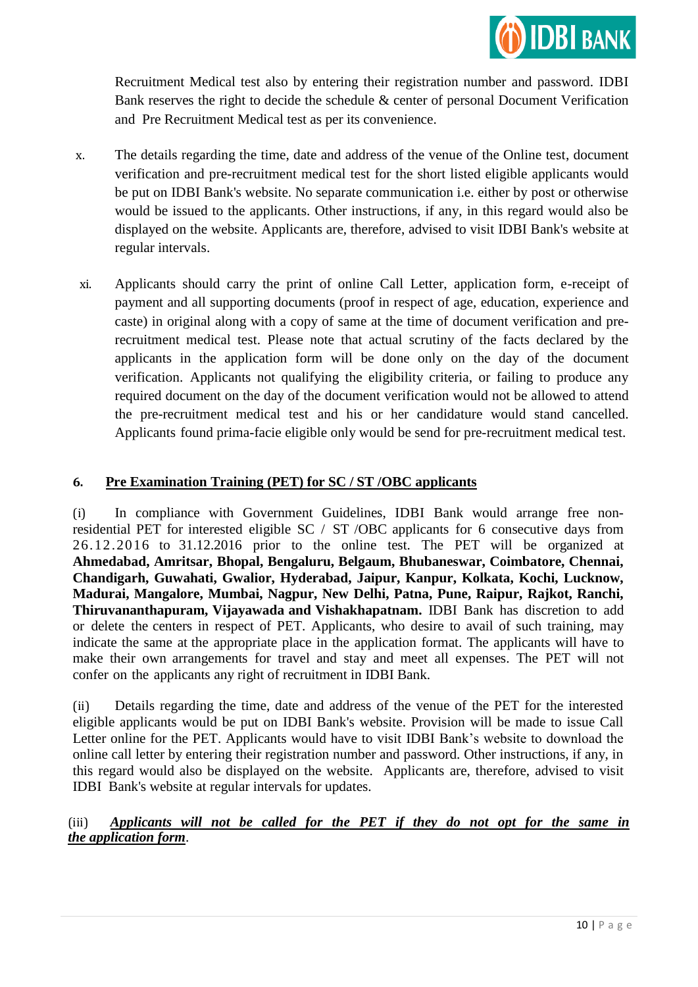

Recruitment Medical test also by entering their registration number and password. IDBI Bank reserves the right to decide the schedule & center of personal Document Verification and Pre Recruitment Medical test as per its convenience.

- x. The details regarding the time, date and address of the venue of the Online test, document verification and pre-recruitment medical test for the short listed eligible applicants would be put on IDBI Bank's website. No separate communication i.e. either by post or otherwise would be issued to the applicants. Other instructions, if any, in this regard would also be displayed on the website. Applicants are, therefore, advised to visit IDBI Bank's website at regular intervals.
- xi. Applicants should carry the print of online Call Letter, application form, e-receipt of payment and all supporting documents (proof in respect of age, education, experience and caste) in original along with a copy of same at the time of document verification and prerecruitment medical test. Please note that actual scrutiny of the facts declared by the applicants in the application form will be done only on the day of the document verification. Applicants not qualifying the eligibility criteria, or failing to produce any required document on the day of the document verification would not be allowed to attend the pre-recruitment medical test and his or her candidature would stand cancelled. Applicants found prima-facie eligible only would be send for pre-recruitment medical test.

## **6. Pre Examination Training (PET) for SC / ST /OBC applicants**

(i) In compliance with Government Guidelines, IDBI Bank would arrange free nonresidential PET for interested eligible SC / ST /OBC applicants for 6 consecutive days from 26.12.2016 to 31.12.2016 prior to the online test. The PET will be organized at **Ahmedabad, Amritsar, Bhopal, Bengaluru, Belgaum, Bhubaneswar, Coimbatore, Chennai, Chandigarh, Guwahati, Gwalior, Hyderabad, Jaipur, Kanpur, Kolkata, Kochi, Lucknow, Madurai, Mangalore, Mumbai, Nagpur, New Delhi, Patna, Pune, Raipur, Rajkot, Ranchi, Thiruvananthapuram, Vijayawada and Vishakhapatnam.** IDBI Bank has discretion to add or delete the centers in respect of PET. Applicants, who desire to avail of such training, may indicate the same at the appropriate place in the application format. The applicants will have to make their own arrangements for travel and stay and meet all expenses. The PET will not confer on the applicants any right of recruitment in IDBI Bank.

(ii) Details regarding the time, date and address of the venue of the PET for the interested eligible applicants would be put on IDBI Bank's website. Provision will be made to issue Call Letter online for the PET. Applicants would have to visit IDBI Bank"s website to download the online call letter by entering their registration number and password. Other instructions, if any, in this regard would also be displayed on the website. Applicants are, therefore, advised to visit IDBI Bank's website at regular intervals for updates.

### (iii) *Applicants will not be called for the PET if they do not opt for the same in the application form*.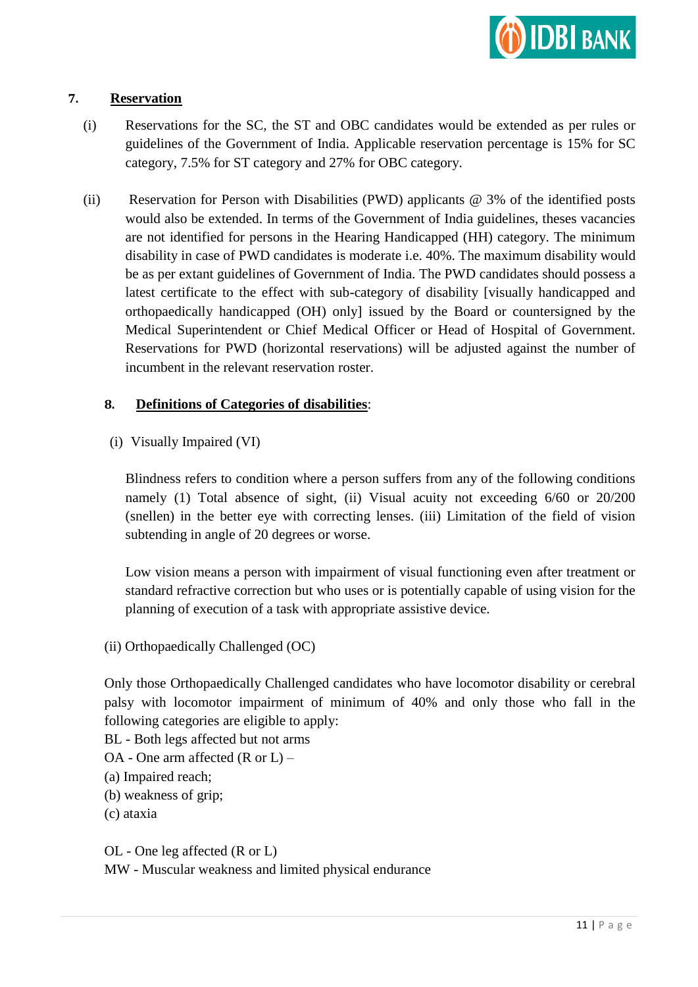

### **7. Reservation**

- (i) Reservations for the SC, the ST and OBC candidates would be extended as per rules or guidelines of the Government of India. Applicable reservation percentage is 15% for SC category, 7.5% for ST category and 27% for OBC category.
- (ii) Reservation for Person with Disabilities (PWD) applicants @ 3% of the identified posts would also be extended. In terms of the Government of India guidelines, theses vacancies are not identified for persons in the Hearing Handicapped (HH) category. The minimum disability in case of PWD candidates is moderate i.e. 40%. The maximum disability would be as per extant guidelines of Government of India. The PWD candidates should possess a latest certificate to the effect with sub-category of disability [visually handicapped and orthopaedically handicapped (OH) only] issued by the Board or countersigned by the Medical Superintendent or Chief Medical Officer or Head of Hospital of Government. Reservations for PWD (horizontal reservations) will be adjusted against the number of incumbent in the relevant reservation roster.

### **8. Definitions of Categories of disabilities**:

(i) Visually Impaired (VI)

Blindness refers to condition where a person suffers from any of the following conditions namely (1) Total absence of sight, (ii) Visual acuity not exceeding 6/60 or 20/200 (snellen) in the better eye with correcting lenses. (iii) Limitation of the field of vision subtending in angle of 20 degrees or worse.

Low vision means a person with impairment of visual functioning even after treatment or standard refractive correction but who uses or is potentially capable of using vision for the planning of execution of a task with appropriate assistive device.

(ii) Orthopaedically Challenged (OC)

Only those Orthopaedically Challenged candidates who have locomotor disability or cerebral palsy with locomotor impairment of minimum of 40% and only those who fall in the following categories are eligible to apply:

BL - Both legs affected but not arms

OA - One arm affected (R or L) –

(a) Impaired reach;

(b) weakness of grip;

(c) ataxia

OL - One leg affected (R or L) MW - Muscular weakness and limited physical endurance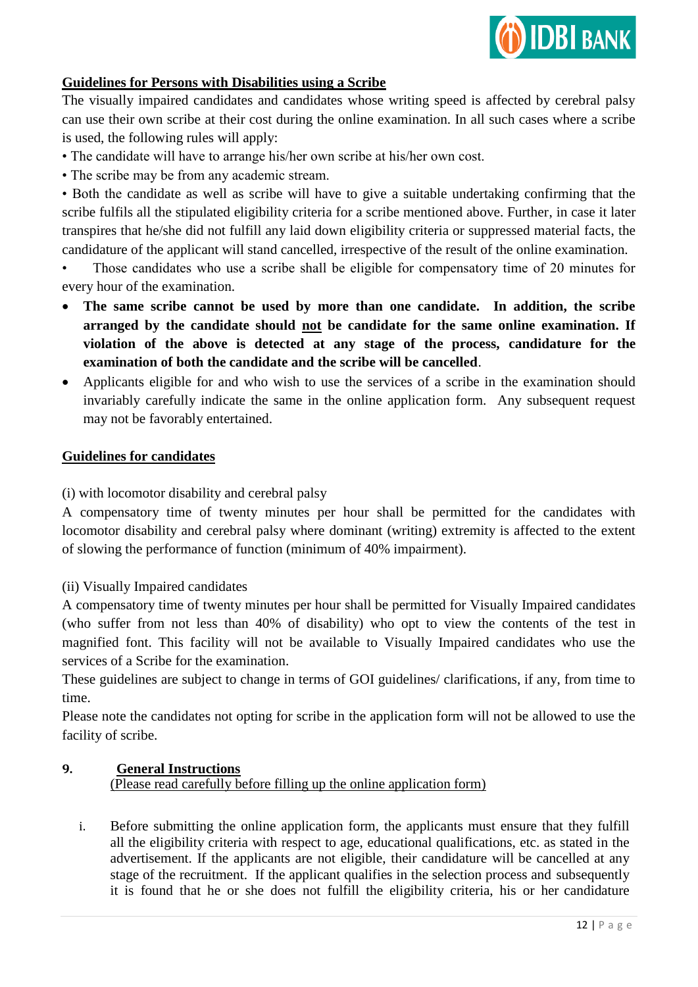

# **Guidelines for Persons with Disabilities using a Scribe**

The visually impaired candidates and candidates whose writing speed is affected by cerebral palsy can use their own scribe at their cost during the online examination. In all such cases where a scribe is used, the following rules will apply:

• The candidate will have to arrange his/her own scribe at his/her own cost.

• The scribe may be from any academic stream.

• Both the candidate as well as scribe will have to give a suitable undertaking confirming that the scribe fulfils all the stipulated eligibility criteria for a scribe mentioned above. Further, in case it later transpires that he/she did not fulfill any laid down eligibility criteria or suppressed material facts, the candidature of the applicant will stand cancelled, irrespective of the result of the online examination.

Those candidates who use a scribe shall be eligible for compensatory time of 20 minutes for every hour of the examination.

- **The same scribe cannot be used by more than one candidate. In addition, the scribe arranged by the candidate should not be candidate for the same online examination. If violation of the above is detected at any stage of the process, candidature for the examination of both the candidate and the scribe will be cancelled**.
- Applicants eligible for and who wish to use the services of a scribe in the examination should invariably carefully indicate the same in the online application form. Any subsequent request may not be favorably entertained.

### **Guidelines for candidates**

(i) with locomotor disability and cerebral palsy

A compensatory time of twenty minutes per hour shall be permitted for the candidates with locomotor disability and cerebral palsy where dominant (writing) extremity is affected to the extent of slowing the performance of function (minimum of 40% impairment).

(ii) Visually Impaired candidates

A compensatory time of twenty minutes per hour shall be permitted for Visually Impaired candidates (who suffer from not less than 40% of disability) who opt to view the contents of the test in magnified font. This facility will not be available to Visually Impaired candidates who use the services of a Scribe for the examination.

These guidelines are subject to change in terms of GOI guidelines/ clarifications, if any, from time to time.

Please note the candidates not opting for scribe in the application form will not be allowed to use the facility of scribe.

### **9.****General Instructions**

(Please read carefully before filling up the online application form)

i. Before submitting the online application form, the applicants must ensure that they fulfill all the eligibility criteria with respect to age, educational qualifications, etc. as stated in the advertisement. If the applicants are not eligible, their candidature will be cancelled at any stage of the recruitment. If the applicant qualifies in the selection process and subsequently it is found that he or she does not fulfill the eligibility criteria, his or her candidature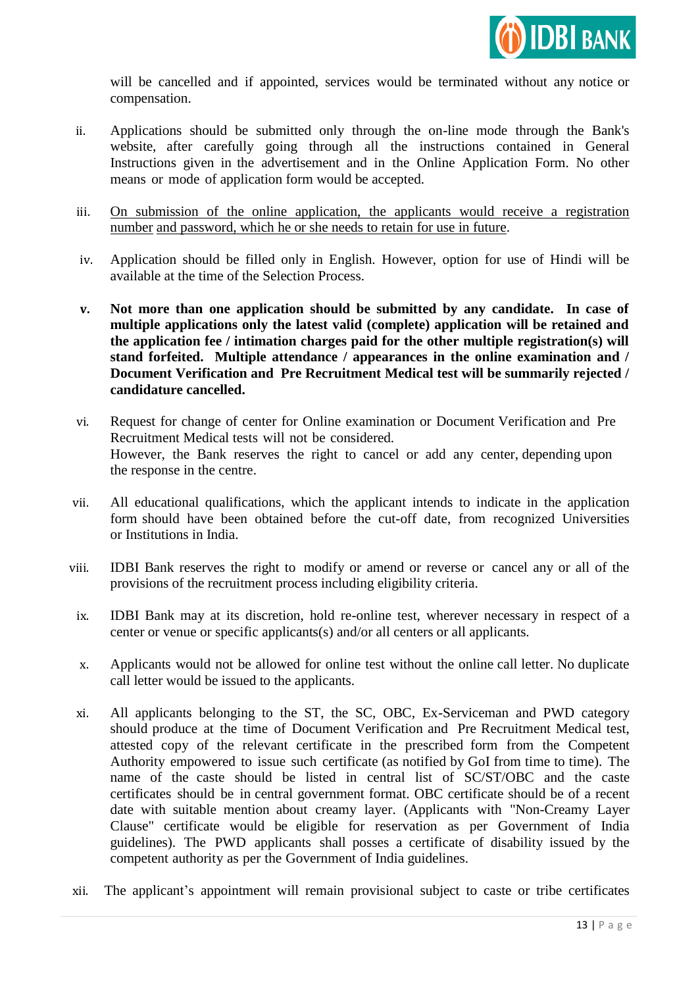

will be cancelled and if appointed, services would be terminated without any notice or compensation.

- ii. Applications should be submitted only through the on-line mode through the Bank's website, after carefully going through all the instructions contained in General Instructions given in the advertisement and in the Online Application Form. No other means or mode of application form would be accepted.
- iii. On submission of the online application, the applicants would receive a registration number and password, which he or she needs to retain for use in future.
- iv. Application should be filled only in English. However, option for use of Hindi will be available at the time of the Selection Process.
- **v. Not more than one application should be submitted by any candidate. In case of multiple applications only the latest valid (complete) application will be retained and the application fee / intimation charges paid for the other multiple registration(s) will stand forfeited. Multiple attendance / appearances in the online examination and / Document Verification and Pre Recruitment Medical test will be summarily rejected / candidature cancelled.**
- vi. Request for change of center for Online examination or Document Verification and Pre Recruitment Medical tests will not be considered. However, the Bank reserves the right to cancel or add any center, depending upon the response in the centre.
- vii. All educational qualifications, which the applicant intends to indicate in the application form should have been obtained before the cut-off date, from recognized Universities or Institutions in India.
- viii. IDBI Bank reserves the right to modify or amend or reverse or cancel any or all of the provisions of the recruitment process including eligibility criteria.
- ix. IDBI Bank may at its discretion, hold re-online test, wherever necessary in respect of a center or venue or specific applicants(s) and/or all centers or all applicants.
- x. Applicants would not be allowed for online test without the online call letter. No duplicate call letter would be issued to the applicants.
- xi. All applicants belonging to the ST, the SC, OBC, Ex-Serviceman and PWD category should produce at the time of Document Verification and Pre Recruitment Medical test, attested copy of the relevant certificate in the prescribed form from the Competent Authority empowered to issue such certificate (as notified by GoI from time to time). The name of the caste should be listed in central list of SC/ST/OBC and the caste certificates should be in central government format. OBC certificate should be of a recent date with suitable mention about creamy layer. (Applicants with "Non-Creamy Layer Clause" certificate would be eligible for reservation as per Government of India guidelines). The PWD applicants shall posses a certificate of disability issued by the competent authority as per the Government of India guidelines.
- xii. The applicant"s appointment will remain provisional subject to caste or tribe certificates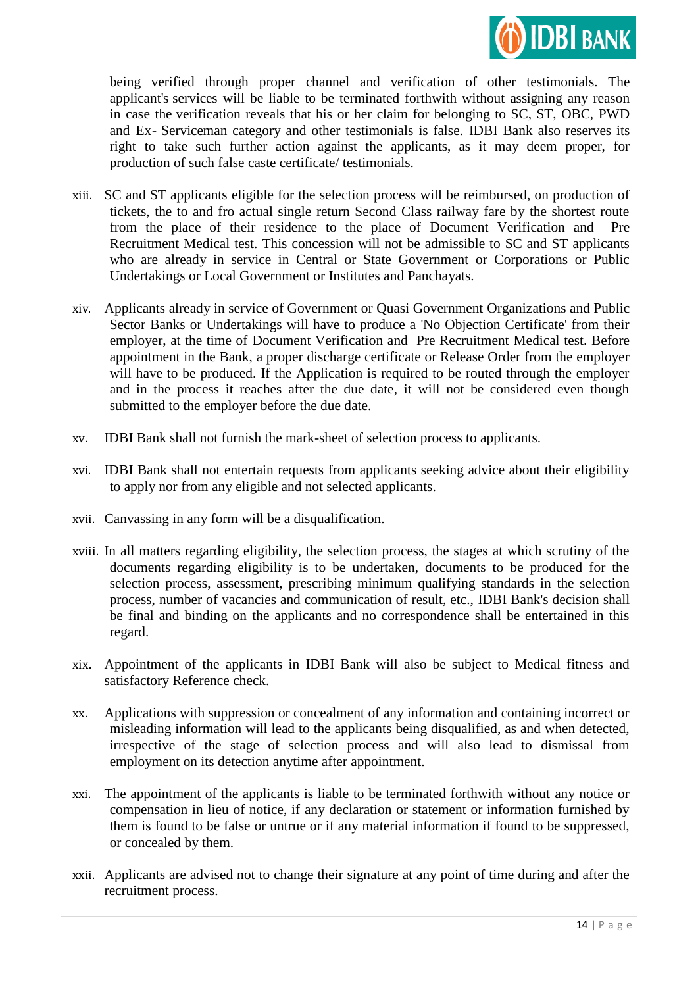

being verified through proper channel and verification of other testimonials. The applicant's services will be liable to be terminated forthwith without assigning any reason in case the verification reveals that his or her claim for belonging to SC, ST, OBC, PWD and Ex- Serviceman category and other testimonials is false. IDBI Bank also reserves its right to take such further action against the applicants, as it may deem proper, for production of such false caste certificate/ testimonials.

- xiii. SC and ST applicants eligible for the selection process will be reimbursed, on production of tickets, the to and fro actual single return Second Class railway fare by the shortest route from the place of their residence to the place of Document Verification and Pre Recruitment Medical test. This concession will not be admissible to SC and ST applicants who are already in service in Central or State Government or Corporations or Public Undertakings or Local Government or Institutes and Panchayats.
- xiv. Applicants already in service of Government or Quasi Government Organizations and Public Sector Banks or Undertakings will have to produce a 'No Objection Certificate' from their employer, at the time of Document Verification and Pre Recruitment Medical test. Before appointment in the Bank, a proper discharge certificate or Release Order from the employer will have to be produced. If the Application is required to be routed through the employer and in the process it reaches after the due date, it will not be considered even though submitted to the employer before the due date.
- xv. IDBI Bank shall not furnish the mark-sheet of selection process to applicants.
- xvi. IDBI Bank shall not entertain requests from applicants seeking advice about their eligibility to apply nor from any eligible and not selected applicants.
- xvii. Canvassing in any form will be a disqualification.
- xviii. In all matters regarding eligibility, the selection process, the stages at which scrutiny of the documents regarding eligibility is to be undertaken, documents to be produced for the selection process, assessment, prescribing minimum qualifying standards in the selection process, number of vacancies and communication of result, etc., IDBI Bank's decision shall be final and binding on the applicants and no correspondence shall be entertained in this regard.
- xix. Appointment of the applicants in IDBI Bank will also be subject to Medical fitness and satisfactory Reference check.
- xx. Applications with suppression or concealment of any information and containing incorrect or misleading information will lead to the applicants being disqualified, as and when detected, irrespective of the stage of selection process and will also lead to dismissal from employment on its detection anytime after appointment.
- xxi. The appointment of the applicants is liable to be terminated forthwith without any notice or compensation in lieu of notice, if any declaration or statement or information furnished by them is found to be false or untrue or if any material information if found to be suppressed, or concealed by them.
- xxii. Applicants are advised not to change their signature at any point of time during and after the recruitment process.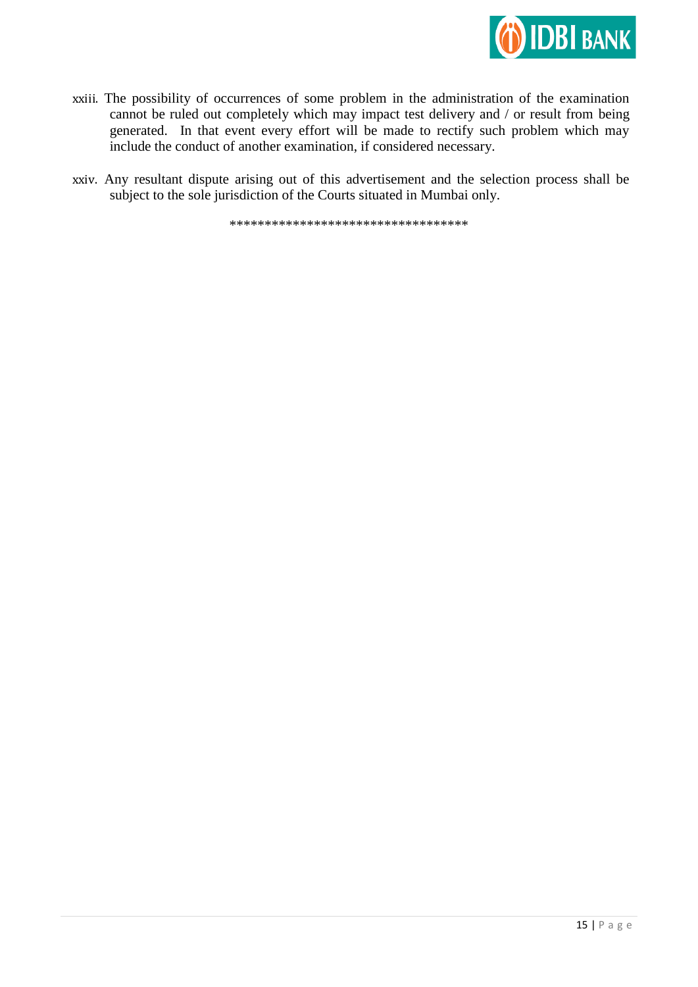

- xxiii. The possibility of occurrences of some problem in the administration of the examination cannot be ruled out completely which may impact test delivery and / or result from being generated. In that event every effort will be made to rectify such problem which may include the conduct of another examination, if considered necessary.
- xxiv. Any resultant dispute arising out of this advertisement and the selection process shall be subject to the sole jurisdiction of the Courts situated in Mumbai only.

\*\*\*\*\*\*\*\*\*\*\*\*\*\*\*\*\*\*\*\*\*\*\*\*\*\*\*\*\*\*\*\*\*\*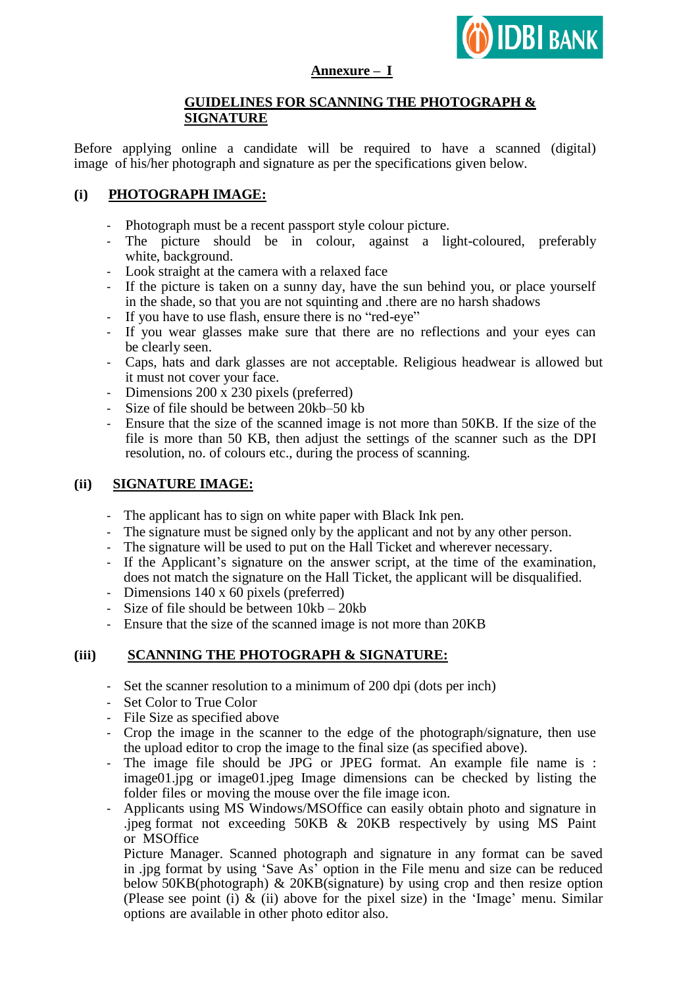

### **Annexure – I**

# **GUIDELINES FOR SCANNING THE PHOTOGRAPH & SIGNATURE**

Before applying online a candidate will be required to have a scanned (digital) image of his/her photograph and signature as per the specifications given below.

# **(i) PHOTOGRAPH IMAGE:**

- Photograph must be a recent passport style colour picture.
- The picture should be in colour, against a light-coloured, preferably white, background.
- Look straight at the camera with a relaxed face
- If the picture is taken on a sunny day, have the sun behind you, or place yourself in the shade, so that you are not squinting and .there are no harsh shadows
- If you have to use flash, ensure there is no "red-eye"
- If you wear glasses make sure that there are no reflections and your eyes can be clearly seen.
- Caps, hats and dark glasses are not acceptable. Religious headwear is allowed but it must not cover your face.
- Dimensions 200 x 230 pixels (preferred)
- Size of file should be between 20kb–50 kb
- Ensure that the size of the scanned image is not more than 50KB. If the size of the file is more than 50 KB, then adjust the settings of the scanner such as the DPI resolution, no. of colours etc., during the process of scanning.

### **(ii) SIGNATURE IMAGE:**

- The applicant has to sign on white paper with Black Ink pen.
- The signature must be signed only by the applicant and not by any other person.
- The signature will be used to put on the Hall Ticket and wherever necessary.
- If the Applicant"s signature on the answer script, at the time of the examination, does not match the signature on the Hall Ticket, the applicant will be disqualified.
- Dimensions 140 x 60 pixels (preferred)
- Size of file should be between 10kb 20kb
- Ensure that the size of the scanned image is not more than 20KB

## **(iii) SCANNING THE PHOTOGRAPH & SIGNATURE:**

- Set the scanner resolution to a minimum of 200 dpi (dots per inch)
- Set Color to True Color
- File Size as specified above
- Crop the image in the scanner to the edge of the photograph/signature, then use the upload editor to crop the image to the final size (as specified above).
- The image file should be JPG or JPEG format. An example file name is : image01.jpg or image01.jpeg Image dimensions can be checked by listing the folder files or moving the mouse over the file image icon.
- Applicants using MS Windows/MSOffice can easily obtain photo and signature in .jpeg format not exceeding 50KB & 20KB respectively by using MS Paint or MSOffice

Picture Manager. Scanned photograph and signature in any format can be saved in .jpg format by using "Save As" option in the File menu and size can be reduced below 50KB(photograph) & 20KB(signature) by using crop and then resize option (Please see point (i)  $\&$  (ii) above for the pixel size) in the 'Image' menu. Similar options are available in other photo editor also.